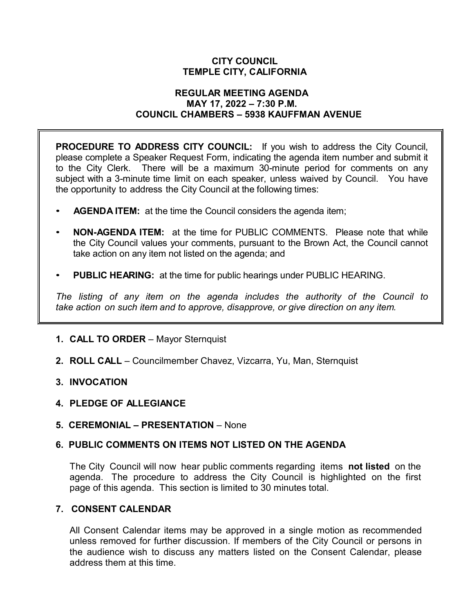# **CITY COUNCIL TEMPLE CITY, CALIFORNIA**

### **REGULAR MEETING AGENDA MAY 17, 2022 – 7:30 P.M. COUNCIL CHAMBERS – 5938 KAUFFMAN AVENUE**

**PROCEDURE TO ADDRESS CITY COUNCIL:** If you wish to address the City Council, please complete a Speaker Request Form, indicating the agenda item number and submit it to the City Clerk. There will be a maximum 30-minute period for comments on any subject with a 3-minute time limit on each speaker, unless waived by Council. You have the opportunity to address the City Council at the following times:

- **AGENDA ITEM:** at the time the Council considers the agenda item;
- **NON-AGENDA ITEM:** at the time for PUBLIC COMMENTS. Please note that while the City Council values your comments, pursuant to the Brown Act, the Council cannot take action on any item not listed on the agenda; and
- **PUBLIC HEARING:** at the time for public hearings under PUBLIC HEARING.

*The listing of any item on the agenda includes the authority of the Council to take action on such item and to approve, disapprove, or give direction on any item.*

- **1. CALL TO ORDER**  Mayor Sternquist
- **2. ROLL CALL**  Councilmember Chavez, Vizcarra, Yu, Man, Sternquist
- **3. INVOCATION**
- **4. PLEDGE OF ALLEGIANCE**
- **5. CEREMONIAL – PRESENTATION** None

### **6. PUBLIC COMMENTS ON ITEMS NOT LISTED ON THE AGENDA**

The City Council will now hear public comments regarding items **not listed** on the agenda. The procedure to address the City Council is highlighted on the first page of this agenda. This section is limited to 30 minutes total.

### **7. CONSENT CALENDAR**

All Consent Calendar items may be approved in a single motion as recommended unless removed for further discussion. If members of the City Council or persons in the audience wish to discuss any matters listed on the Consent Calendar, please address them at this time.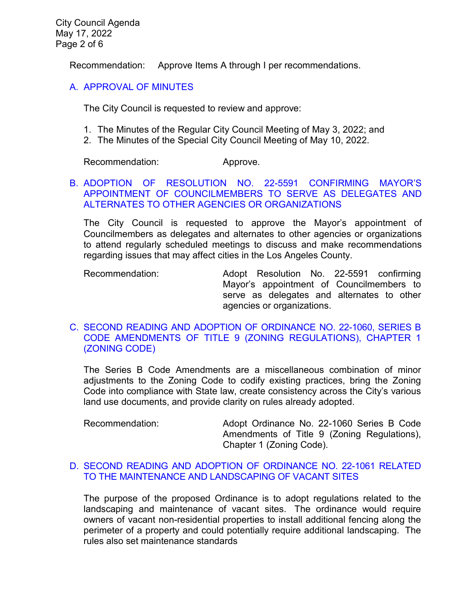City Council Agenda May 17, 2022 Page 2 of 6

Recommendation: Approve Items A through I per recommendations.

## [A. APPROVAL OF MINUTES](https://www.ci.temple-city.ca.us/DocumentCenter/View/17878/02_7A_CCM---2022-05-03)

The City Council is requested to review and approve:

- 1. The Minutes of the Regular City Council Meeting of May 3, 2022; and
- 2. The Minutes of the Special City Council Meeting of May 10, 2022.

Recommendation: Approve.

# B. [ADOPTION OF RESOLUTION NO. 22-5591 CONFIRMING MAYOR'S](https://www.ci.temple-city.ca.us/DocumentCenter/View/17886/03_7B_Mayor-Appointment---Staff-Report-May-2022)  [APPOINTMENT OF COUNCILMEMBERS TO SERVE AS DELEGATES AND](https://www.ci.temple-city.ca.us/DocumentCenter/View/17886/03_7B_Mayor-Appointment---Staff-Report-May-2022)  [ALTERNATES TO OTHER AGENCIES OR ORGANIZATIONS](https://www.ci.temple-city.ca.us/DocumentCenter/View/17886/03_7B_Mayor-Appointment---Staff-Report-May-2022)

The City Council is requested to approve the Mayor's appointment of Councilmembers as delegates and alternates to other agencies or organizations to attend regularly scheduled meetings to discuss and make recommendations regarding issues that may affect cities in the Los Angeles County.

Recommendation: Adopt Resolution No. 22-5591 confirming Mayor's appointment of Councilmembers to serve as delegates and alternates to other agencies or organizations.

# C. [SECOND READING AND ADOPTION OF ORDINANCE NO. 22-1060, SERIES B](https://www.ci.temple-city.ca.us/DocumentCenter/View/17879/04_7C_Series-B-Code-Amendments_Second-Reading_Staff-Report-w-attachments)  [CODE AMENDMENTS OF TITLE 9 \(ZONING REGULATIONS\), CHAPTER 1](https://www.ci.temple-city.ca.us/DocumentCenter/View/17879/04_7C_Series-B-Code-Amendments_Second-Reading_Staff-Report-w-attachments)  [\(ZONING CODE\)](https://www.ci.temple-city.ca.us/DocumentCenter/View/17879/04_7C_Series-B-Code-Amendments_Second-Reading_Staff-Report-w-attachments)

The Series B Code Amendments are a miscellaneous combination of minor adjustments to the Zoning Code to codify existing practices, bring the Zoning Code into compliance with State law, create consistency across the City's various land use documents, and provide clarity on rules already adopted.

Recommendation: Adopt Ordinance No. 22-1060 Series B Code Amendments of Title 9 (Zoning Regulations), Chapter 1 (Zoning Code).

## D. [SECOND READING AND ADOPTION OF ORDINANCE NO. 22-1061 RELATED](https://www.ci.temple-city.ca.us/DocumentCenter/View/17880/05_7D_Vacant-Parcel-Ordinance_Second-Reading_Staff-Report-w-attachments)  [TO THE MAINTENANCE AND LANDSCAPING OF VACANT SITES](https://www.ci.temple-city.ca.us/DocumentCenter/View/17880/05_7D_Vacant-Parcel-Ordinance_Second-Reading_Staff-Report-w-attachments)

The purpose of the proposed Ordinance is to adopt regulations related to the landscaping and maintenance of vacant sites. The ordinance would require owners of vacant non-residential properties to install additional fencing along the perimeter of a property and could potentially require additional landscaping. The rules also set maintenance standards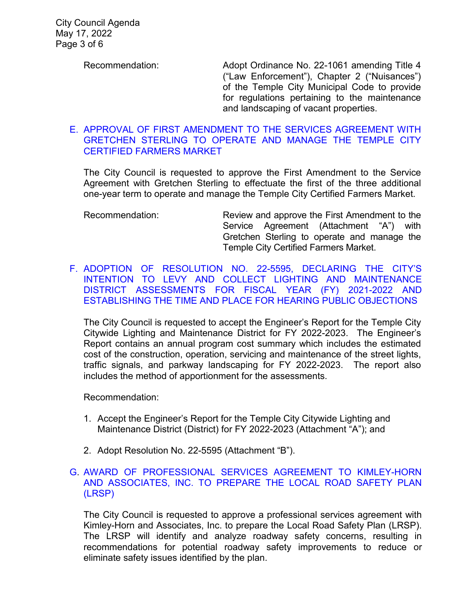Recommendation: Adopt Ordinance No. 22-1061 amending Title 4 ("Law Enforcement"), Chapter 2 ("Nuisances") of the Temple City Municipal Code to provide for regulations pertaining to the maintenance and landscaping of vacant properties.

### E. [APPROVAL OF FIRST AMENDMENT TO THE SERVICES AGREEMENT WITH](https://www.ci.temple-city.ca.us/DocumentCenter/View/17881/06_7E_Farmers-Market-Agreement_Staff-Report-w-attachments)  [GRETCHEN STERLING TO OPERATE AND MANAGE THE TEMPLE CITY](https://www.ci.temple-city.ca.us/DocumentCenter/View/17881/06_7E_Farmers-Market-Agreement_Staff-Report-w-attachments)  [CERTIFIED FARMERS MARKET](https://www.ci.temple-city.ca.us/DocumentCenter/View/17881/06_7E_Farmers-Market-Agreement_Staff-Report-w-attachments)

The City Council is requested to approve the First Amendment to the Service Agreement with Gretchen Sterling to effectuate the first of the three additional one-year term to operate and manage the Temple City Certified Farmers Market.

[F. ADOPTION OF RESOLUTION NO. 22-5595, DECLARING THE CITY'S](https://www.ci.temple-city.ca.us/DocumentCenter/View/17887/07_7F_LLD-Intention-to-Levy-Assessments_Engineer-Report_Staff-Report-Final-w-attachments)  [INTENTION TO LEVY AND COLLECT LIGHTING AND MAINTENANCE](https://www.ci.temple-city.ca.us/DocumentCenter/View/17887/07_7F_LLD-Intention-to-Levy-Assessments_Engineer-Report_Staff-Report-Final-w-attachments)  [DISTRICT ASSESSMENTS FOR FISCAL YEAR](https://www.ci.temple-city.ca.us/DocumentCenter/View/17887/07_7F_LLD-Intention-to-Levy-Assessments_Engineer-Report_Staff-Report-Final-w-attachments) (FY) 2021-2022 AND [ESTABLISHING THE TIME AND PLACE FOR HEARING PUBLIC OBJECTIONS](https://www.ci.temple-city.ca.us/DocumentCenter/View/17887/07_7F_LLD-Intention-to-Levy-Assessments_Engineer-Report_Staff-Report-Final-w-attachments)

The City Council is requested to accept the Engineer's Report for the Temple City Citywide Lighting and Maintenance District for FY 2022-2023. The Engineer's Report contains an annual program cost summary which includes the estimated cost of the construction, operation, servicing and maintenance of the street lights, traffic signals, and parkway landscaping for FY 2022-2023. The report also includes the method of apportionment for the assessments.

Recommendation:

- 1. Accept the Engineer's Report for the Temple City Citywide Lighting and Maintenance District (District) for FY 2022-2023 (Attachment "A"); and
- 2. Adopt Resolution No. 22-5595 (Attachment "B").

## [G.](https://www.ci.temple-city.ca.us/DocumentCenter/View/17882/08_7G_Award-of-Service-Agreement-to-prepare-the-Local-Road-Safety-Plan-LRSP) [AWARD OF PROFESSIONAL SERVICES AGREEMENT TO KIMLEY-HORN](https://www.ci.temple-city.ca.us/DocumentCenter/View/17882/08_7G_Award-of-Service-Agreement-to-prepare-the-Local-Road-Safety-Plan-LRSP)  [AND ASSOCIATES, INC. TO PREPARE THE LOCAL ROAD SAFETY PLAN](https://www.ci.temple-city.ca.us/DocumentCenter/View/17882/08_7G_Award-of-Service-Agreement-to-prepare-the-Local-Road-Safety-Plan-LRSP)  [\(LRSP\)](https://www.ci.temple-city.ca.us/DocumentCenter/View/17882/08_7G_Award-of-Service-Agreement-to-prepare-the-Local-Road-Safety-Plan-LRSP)

The City Council is requested to approve a professional services agreement with Kimley-Horn and Associates, Inc. to prepare the Local Road Safety Plan (LRSP). The LRSP will identify and analyze roadway safety concerns, resulting in recommendations for potential roadway safety improvements to reduce or eliminate safety issues identified by the plan.

Recommendation: Review and approve the First Amendment to the Service Agreement (Attachment "A") with Gretchen Sterling to operate and manage the Temple City Certified Farmers Market.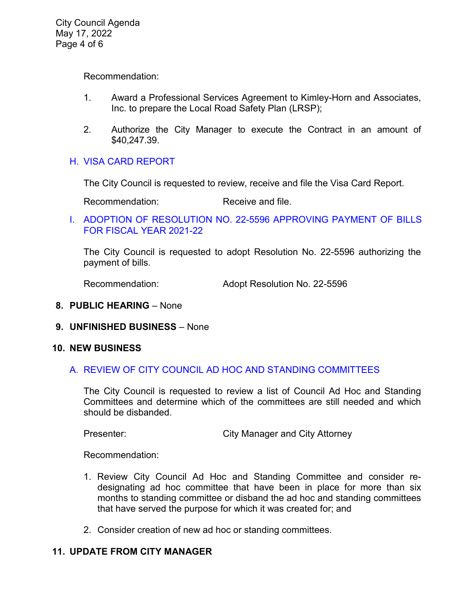Recommendation:

- 1. Award a Professional Services Agreement to Kimley-Horn and Associates, Inc. to prepare the Local Road Safety Plan (LRSP);
- 2. Authorize the City Manager to execute the Contract in an amount of \$40,247.39.

# H. [VISA CARD REPORT](https://www.ci.temple-city.ca.us/DocumentCenter/View/17883/09_7H_Visa-Card-Staff-Report)

The City Council is requested to review, receive and file the Visa Card Report.

Recommendation: Receive and file.

I. [ADOPTION OF RESOLUTION NO. 22-5596](https://www.ci.temple-city.ca.us/DocumentCenter/View/17884/10_7I_Warrant-Register_Reso-No-22-5595-51722---Warrants--Demands-FY-2021-2022) APPROVING PAYMENT OF BILLS [FOR FISCAL YEAR 2021-22](https://www.ci.temple-city.ca.us/DocumentCenter/View/17884/10_7I_Warrant-Register_Reso-No-22-5595-51722---Warrants--Demands-FY-2021-2022)

The City Council is requested to adopt Resolution No. 22-5596 authorizing the payment of bills.

Recommendation: Adopt Resolution No. 22-5596

- **8. PUBLIC HEARING** None
- **9. UNFINISHED BUSINESS** None

### **10. NEW BUSINESS**

## A. REVIEW OF CITY COUNCIL AD HOC AND STANDING [COMMITTEES](https://www.ci.temple-city.ca.us/DocumentCenter/View/17885/12_10A_City-Council-Ad-Hoc-and-Standing-Committees-Reivew_Staff-Report)

The City Council is requested to review a list of Council Ad Hoc and Standing Committees and determine which of the committees are still needed and which should be disbanded.

Presenter: City Manager and City Attorney

Recommendation:

- 1. Review City Council Ad Hoc and Standing Committee and consider redesignating ad hoc committee that have been in place for more than six months to standing committee or disband the ad hoc and standing committees that have served the purpose for which it was created for; and
- 2. Consider creation of new ad hoc or standing committees.

# **11. UPDATE FROM CITY MANAGER**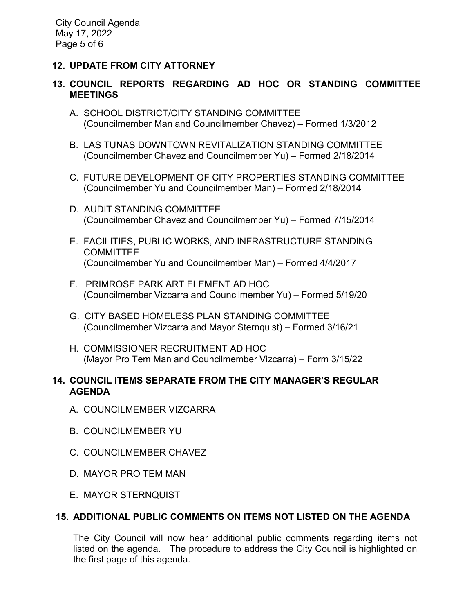# **12. UPDATE FROM CITY ATTORNEY**

# **13. COUNCIL REPORTS REGARDING AD HOC OR STANDING COMMITTEE MEETINGS**

- A. SCHOOL DISTRICT/CITY STANDING COMMITTEE (Councilmember Man and Councilmember Chavez) – Formed 1/3/2012
- B. LAS TUNAS DOWNTOWN REVITALIZATION STANDING COMMITTEE (Councilmember Chavez and Councilmember Yu) – Formed 2/18/2014
- C. FUTURE DEVELOPMENT OF CITY PROPERTIES STANDING COMMITTEE (Councilmember Yu and Councilmember Man) – Formed 2/18/2014
- D. AUDIT STANDING COMMITTEE (Councilmember Chavez and Councilmember Yu) – Formed 7/15/2014
- E. FACILITIES, PUBLIC WORKS, AND INFRASTRUCTURE STANDING COMMITTEE (Councilmember Yu and Councilmember Man) – Formed 4/4/2017
- F. PRIMROSE PARK ART ELEMENT AD HOC (Councilmember Vizcarra and Councilmember Yu) – Formed 5/19/20
- G. CITY BASED HOMELESS PLAN STANDING COMMITTEE (Councilmember Vizcarra and Mayor Sternquist) – Formed 3/16/21
- H. COMMISSIONER RECRUITMENT AD HOC (Mayor Pro Tem Man and Councilmember Vizcarra) – Form 3/15/22

# **14. COUNCIL ITEMS SEPARATE FROM THE CITY MANAGER'S REGULAR AGENDA**

- A. COUNCILMEMBER VIZCARRA
- B. COUNCILMEMBER YU
- C. COUNCILMEMBER CHAVEZ
- D. MAYOR PRO TEM MAN
- E. MAYOR STERNQUIST

# **15. ADDITIONAL PUBLIC COMMENTS ON ITEMS NOT LISTED ON THE AGENDA**

The City Council will now hear additional public comments regarding items not listed on the agenda. The procedure to address the City Council is highlighted on the first page of this agenda.